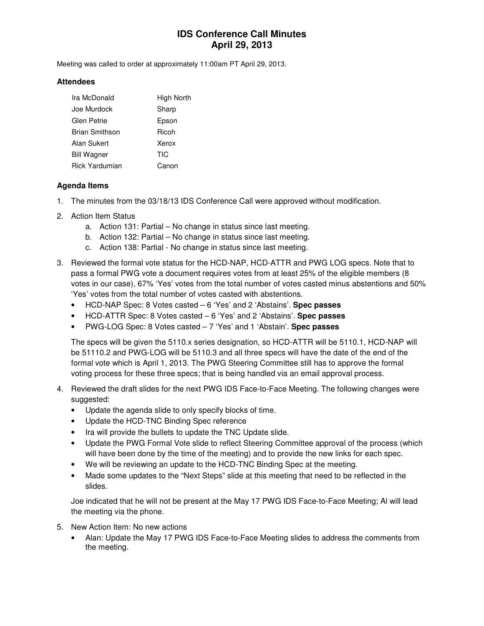## **IDS Conference Call Minutes April 29, 2013**

Meeting was called to order at approximately 11:00am PT April 29, 2013.

#### **Attendees**

| Ira McDonald          | High North |
|-----------------------|------------|
| Joe Murdock           | Sharp      |
| Glen Petrie           | Epson      |
| <b>Brian Smithson</b> | Ricoh      |
| Alan Sukert           | Xerox      |
| <b>Bill Wagner</b>    | TIC        |
| <b>Rick Yardumian</b> | Canon      |

#### **Agenda Items**

- 1. The minutes from the 03/18/13 IDS Conference Call were approved without modification.
- 2. Action Item Status
	- a. Action 131: Partial No change in status since last meeting.
	- b. Action 132: Partial No change in status since last meeting.
	- c. Action 138: Partial No change in status since last meeting.
- 3. Reviewed the formal vote status for the HCD-NAP, HCD-ATTR and PWG LOG specs. Note that to pass a formal PWG vote a document requires votes from at least 25% of the eligible members (8 votes in our case), 67% 'Yes' votes from the total number of votes casted minus abstentions and 50% 'Yes' votes from the total number of votes casted with abstentions.
	- HCD-NAP Spec: 8 Votes casted 6 'Yes' and 2 'Abstains'. **Spec passes**
	- HCD-ATTR Spec: 8 Votes casted 6 'Yes' and 2 'Abstains'. **Spec passes**
	- PWG-LOG Spec: 8 Votes casted 7 'Yes' and 1 'Abstain'. **Spec passes**

The specs will be given the 5110.x series designation, so HCD-ATTR will be 5110.1, HCD-NAP will be 51110.2 and PWG-LOG will be 5110.3 and all three specs will have the date of the end of the formal vote which is April 1, 2013. The PWG Steering Committee still has to approve the formal voting process for these three specs; that is being handled via an email approval process.

- 4. Reviewed the draft slides for the next PWG IDS Face-to-Face Meeting. The following changes were suggested:
	- Update the agenda slide to only specify blocks of time.
	- Update the HCD-TNC Binding Spec reference
	- Ira will provide the bullets to update the TNC Update slide.
	- Update the PWG Formal Vote slide to reflect Steering Committee approval of the process (which will have been done by the time of the meeting) and to provide the new links for each spec.
	- We will be reviewing an update to the HCD-TNC Binding Spec at the meeting.
	- Made some updates to the "Next Steps" slide at this meeting that need to be reflected in the slides.

Joe indicated that he will not be present at the May 17 PWG IDS Face-to-Face Meeting; Al will lead the meeting via the phone.

- 5. New Action Item: No new actions
	- Alan: Update the May 17 PWG IDS Face-to-Face Meeting slides to address the comments from the meeting.